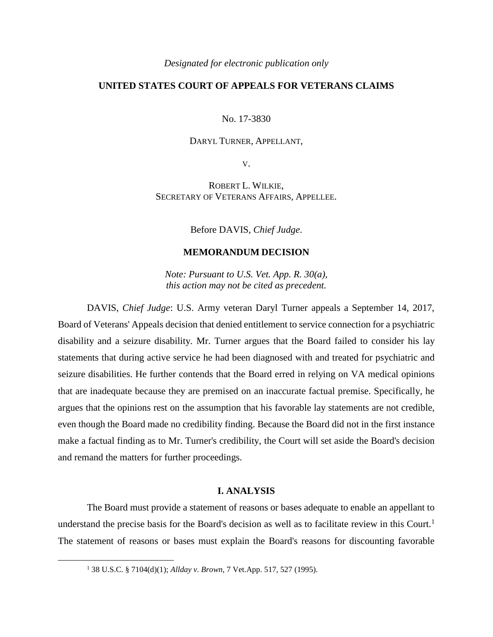#### *Designated for electronic publication only*

# **UNITED STATES COURT OF APPEALS FOR VETERANS CLAIMS**

No. 17-3830

### DARYL TURNER, APPELLANT,

V.

ROBERT L. WILKIE, SECRETARY OF VETERANS AFFAIRS, APPELLEE.

Before DAVIS, *Chief Judge*.

## **MEMORANDUM DECISION**

*Note: Pursuant to U.S. Vet. App. R. 30(a), this action may not be cited as precedent.*

DAVIS, *Chief Judge*: U.S. Army veteran Daryl Turner appeals a September 14, 2017, Board of Veterans' Appeals decision that denied entitlement to service connection for a psychiatric disability and a seizure disability. Mr. Turner argues that the Board failed to consider his lay statements that during active service he had been diagnosed with and treated for psychiatric and seizure disabilities. He further contends that the Board erred in relying on VA medical opinions that are inadequate because they are premised on an inaccurate factual premise. Specifically, he argues that the opinions rest on the assumption that his favorable lay statements are not credible, even though the Board made no credibility finding. Because the Board did not in the first instance make a factual finding as to Mr. Turner's credibility, the Court will set aside the Board's decision and remand the matters for further proceedings.

#### **I. ANALYSIS**

The Board must provide a statement of reasons or bases adequate to enable an appellant to understand the precise basis for the Board's decision as well as to facilitate review in this Court.<sup>1</sup> The statement of reasons or bases must explain the Board's reasons for discounting favorable

 $\overline{a}$ 

<sup>1</sup> 38 U.S.C. § 7104(d)(1); *Allday v. Brown*, 7 Vet.App. 517, 527 (1995).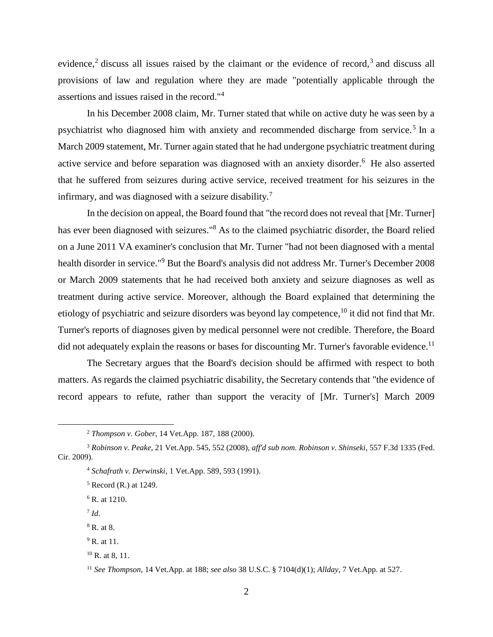evidence,<sup>2</sup> discuss all issues raised by the claimant or the evidence of record,<sup>3</sup> and discuss all provisions of law and regulation where they are made "potentially applicable through the assertions and issues raised in the record."<sup>4</sup>

In his December 2008 claim, Mr. Turner stated that while on active duty he was seen by a psychiatrist who diagnosed him with anxiety and recommended discharge from service.<sup>5</sup> In a March 2009 statement, Mr. Turner again stated that he had undergone psychiatric treatment during active service and before separation was diagnosed with an anxiety disorder.<sup>6</sup> He also asserted that he suffered from seizures during active service, received treatment for his seizures in the infirmary, and was diagnosed with a seizure disability.<sup>7</sup>

In the decision on appeal, the Board found that "the record does not reveal that [Mr. Turner] has ever been diagnosed with seizures."<sup>8</sup> As to the claimed psychiatric disorder, the Board relied on a June 2011 VA examiner's conclusion that Mr. Turner "had not been diagnosed with a mental health disorder in service."<sup>9</sup> But the Board's analysis did not address Mr. Turner's December 2008 or March 2009 statements that he had received both anxiety and seizure diagnoses as well as treatment during active service. Moreover, although the Board explained that determining the etiology of psychiatric and seizure disorders was beyond lay competence, <sup>10</sup> it did not find that Mr. Turner's reports of diagnoses given by medical personnel were not credible. Therefore, the Board did not adequately explain the reasons or bases for discounting Mr. Turner's favorable evidence.<sup>11</sup>

The Secretary argues that the Board's decision should be affirmed with respect to both matters. As regards the claimed psychiatric disability, the Secretary contends that "the evidence of record appears to refute, rather than support the veracity of [Mr. Turner's] March 2009

7 *Id*.

 $\overline{a}$ 

<sup>9</sup> R. at 11.

<sup>2</sup> *Thompson v. Gober*, 14 Vet.App. 187, 188 (2000).

<sup>3</sup> *Robinson v. Peake*, 21 Vet.App. 545, 552 (2008), *aff'd sub nom. Robinson v. Shinseki*, 557 F.3d 1335 (Fed. Cir. 2009).

<sup>4</sup> *Schafrath v. Derwinski*, 1 Vet.App. 589, 593 (1991).

 $<sup>5</sup>$  Record (R.) at 1249.</sup>

<sup>&</sup>lt;sup>6</sup> R. at 1210.

<sup>8</sup> R. at 8.

 $10$  R, at 8, 11.

<sup>11</sup> *See Thompson*, 14 Vet.App. at 188; *see also* 38 U.S.C. § 7104(d)(1); *Allday*, 7 Vet.App. at 527.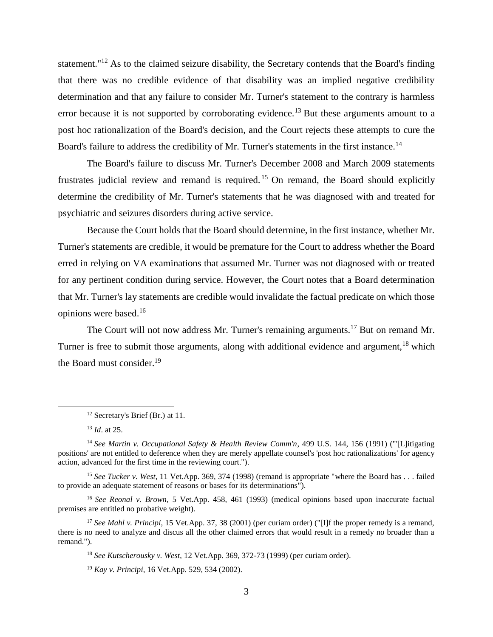statement."<sup>12</sup> As to the claimed seizure disability, the Secretary contends that the Board's finding that there was no credible evidence of that disability was an implied negative credibility determination and that any failure to consider Mr. Turner's statement to the contrary is harmless error because it is not supported by corroborating evidence.<sup>13</sup> But these arguments amount to a post hoc rationalization of the Board's decision, and the Court rejects these attempts to cure the Board's failure to address the credibility of Mr. Turner's statements in the first instance.<sup>14</sup>

The Board's failure to discuss Mr. Turner's December 2008 and March 2009 statements frustrates judicial review and remand is required. <sup>15</sup> On remand, the Board should explicitly determine the credibility of Mr. Turner's statements that he was diagnosed with and treated for psychiatric and seizures disorders during active service.

Because the Court holds that the Board should determine, in the first instance, whether Mr. Turner's statements are credible, it would be premature for the Court to address whether the Board erred in relying on VA examinations that assumed Mr. Turner was not diagnosed with or treated for any pertinent condition during service. However, the Court notes that a Board determination that Mr. Turner's lay statements are credible would invalidate the factual predicate on which those opinions were based.<sup>16</sup>

The Court will not now address Mr. Turner's remaining arguments.<sup>17</sup> But on remand Mr. Turner is free to submit those arguments, along with additional evidence and argument,<sup>18</sup> which the Board must consider.<sup>19</sup>

 $\overline{a}$ 

<sup>15</sup> *See Tucker v. West*, 11 Vet.App. 369, 374 (1998) (remand is appropriate "where the Board has . . . failed to provide an adequate statement of reasons or bases for its determinations").

<sup>16</sup> *See Reonal v. Brown*, 5 Vet.App. 458, 461 (1993) (medical opinions based upon inaccurate factual premises are entitled no probative weight).

<sup>17</sup> *See Mahl v. Principi*, 15 Vet.App. 37, 38 (2001) (per curiam order) ("[I]f the proper remedy is a remand, there is no need to analyze and discus all the other claimed errors that would result in a remedy no broader than a remand.").

<sup>18</sup> *See Kutscherousky v. West*, 12 Vet.App. 369, 372-73 (1999) (per curiam order).

<sup>19</sup> *Kay v. Principi*, 16 Vet.App. 529, 534 (2002).

<sup>&</sup>lt;sup>12</sup> Secretary's Brief (Br.) at 11.

<sup>13</sup> *Id*. at 25.

<sup>14</sup> *See Martin v. Occupational Safety & Health Review Comm'n*, 499 U.S. 144, 156 (1991) ("'[L]itigating positions' are not entitled to deference when they are merely appellate counsel's 'post hoc rationalizations' for agency action, advanced for the first time in the reviewing court.").